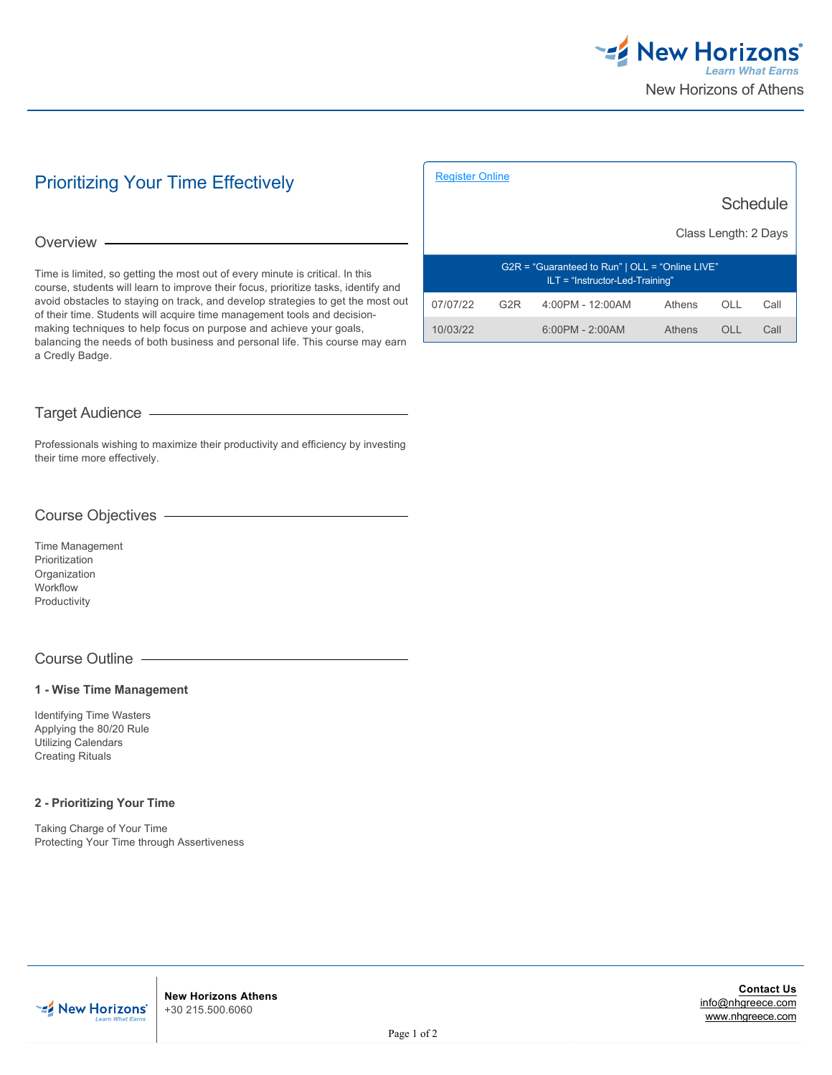

# Prioritizing Your Time Effectively

#### Overview -

Time is limited, so getting the most out of every minute is critical. In this course, students will learn to improve their focus, prioritize tasks, identify and avoid obstacles to staying on track, and develop strategies to get the most out of their time. Students will acquire time management tools and decisionmaking techniques to help focus on purpose and achieve your goals, balancing the needs of both business and personal life. This course may earn a Credly Badge.

|                                                                                        |                  | <b>Schedule</b>   |        |                     |      |  |
|----------------------------------------------------------------------------------------|------------------|-------------------|--------|---------------------|------|--|
| Class Length: 2 Days                                                                   |                  |                   |        |                     |      |  |
| $G2R = "Guaranteed to Run"   OLL = "Online LIVE"$<br>$ILT = "Instructor-Led-Training"$ |                  |                   |        |                     |      |  |
| 07/07/22                                                                               | G <sub>2</sub> R | 4:00PM - 12:00AM  | Athens | OLL                 | Call |  |
| 10/03/22                                                                               |                  | $6:00PM - 2:00AM$ | Athens | $\bigcap$ $\bigcup$ | Call |  |

[Register Online](https://www.nhgreece.com//en-us/training-and-certifications/course-outline/id/1018235673)

# Target Audience

Professionals wishing to maximize their productivity and efficiency by investing their time more effectively.

# Course Objectives

Time Management Prioritization Organization Workflow Productivity

# Course Outline

#### **1 - Wise Time Management**

Identifying Time Wasters Applying the 80/20 Rule Utilizing Calendars Creating Rituals

#### **2 - Prioritizing Your Time**

Taking Charge of Your Time Protecting Your Time through Assertiveness



**New Horizons Athens** +30 215.500.6060